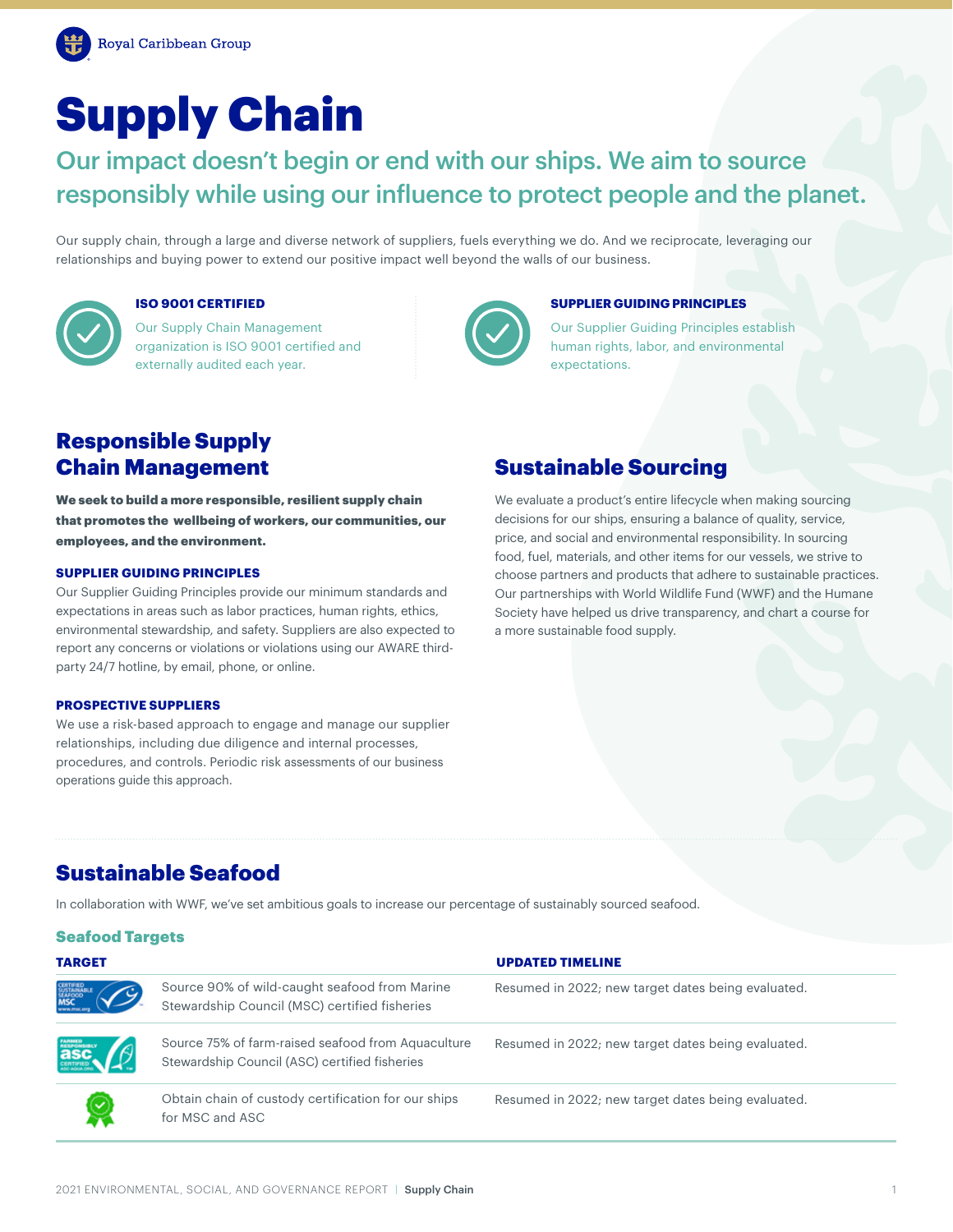# Supply Chain

Our impact doesn't begin or end with our ships. We aim to source responsibly while using our influence to protect people and the planet.

Our supply chain, through a large and diverse network of suppliers, fuels everything we do. And we reciprocate, leveraging our relationships and buying power to extend our positive impact well beyond the walls of our business.



## **ISO 9001 CERTIFIED**

Our Supply Chain Management organization is ISO 9001 certified and externally audited each year.



#### **SUPPLIER GUIDING PRINCIPLES**

Our Supplier Guiding Principles establish human rights, labor, and environmental expectations.

# Responsible Supply Chain Management

We seek to build a more responsible, resilient supply chain that promotes the wellbeing of workers, our communities, our employees, and the environment.

#### **SUPPLIER GUIDING PRINCIPLES**

Our Supplier Guiding Principles provide our minimum standards and expectations in areas such as labor practices, human rights, ethics, environmental stewardship, and safety. Suppliers are also expected to report any concerns or violations or violations using our AWARE thirdparty 24/7 hotline, by email, phone, or online.

#### **PROSPECTIVE SUPPLIERS**

We use a risk-based approach to engage and manage our supplier relationships, including due diligence and internal processes, procedures, and controls. Periodic risk assessments of our business operations guide this approach.

## Sustainable Sourcing

We evaluate a product's entire lifecycle when making sourcing decisions for our ships, ensuring a balance of quality, service, price, and social and environmental responsibility. In sourcing food, fuel, materials, and other items for our vessels, we strive to choose partners and products that adhere to sustainable practices. Our partnerships with World Wildlife Fund (WWF) and the Humane Society have helped us drive transparency, and chart a course for a more sustainable food supply.

## Sustainable Seafood

In collaboration with WWF, we've set ambitious goals to increase our percentage of sustainably sourced seafood.

### Seafood Targets

| <b>TARGET</b>                                     |                                                                                                     | <b>UPDATED TIMELINE</b>                            |
|---------------------------------------------------|-----------------------------------------------------------------------------------------------------|----------------------------------------------------|
| CERTIFIED<br>SUSTAINABLE<br>SEAFOCO<br><b>MSC</b> | Source 90% of wild-caught seafood from Marine<br>Stewardship Council (MSC) certified fisheries      | Resumed in 2022; new target dates being evaluated. |
| <b>asc.</b>                                       | Source 75% of farm-raised seafood from Aquaculture<br>Stewardship Council (ASC) certified fisheries | Resumed in 2022; new target dates being evaluated. |
|                                                   | Obtain chain of custody certification for our ships<br>for MSC and ASC                              | Resumed in 2022; new target dates being evaluated. |